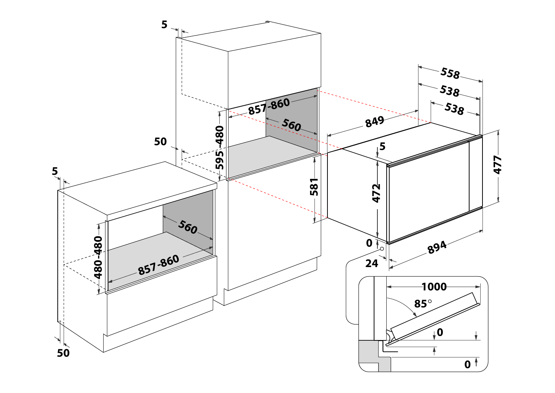